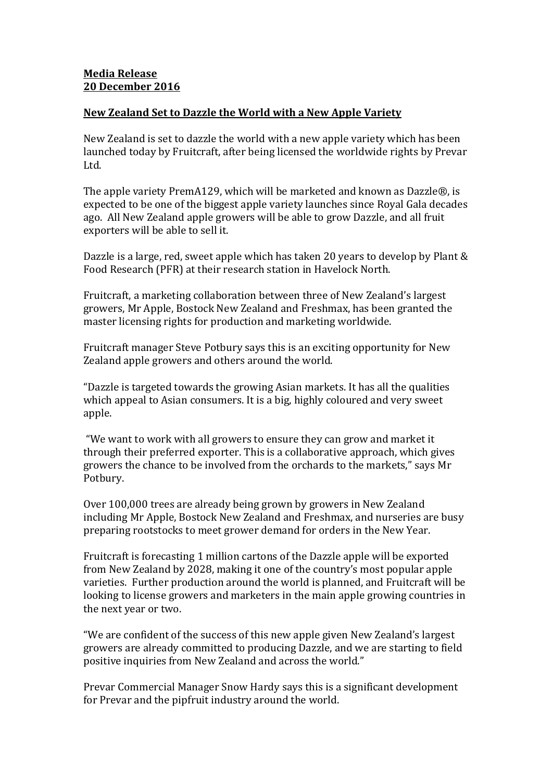## Media Release 20 December 2016

## New Zealand Set to Dazzle the World with a New Apple Variety

New Zealand is set to dazzle the world with a new apple variety which has been launched today by Fruitcraft, after being licensed the worldwide rights by Prevar Ltd.

The apple variety PremA129, which will be marketed and known as Dazzle®, is expected to be one of the biggest apple variety launches since Royal Gala decades ago. All New Zealand apple growers will be able to grow Dazzle, and all fruit exporters will be able to sell it.

Dazzle is a large, red, sweet apple which has taken 20 years to develop by Plant & Food Research (PFR) at their research station in Havelock North.

Fruitcraft, a marketing collaboration between three of New Zealand's largest growers, Mr Apple, Bostock New Zealand and Freshmax, has been granted the master licensing rights for production and marketing worldwide.

Fruitcraft manager Steve Potbury says this is an exciting opportunity for New Zealand apple growers and others around the world.

"Dazzle is targeted towards the growing Asian markets. It has all the qualities which appeal to Asian consumers. It is a big, highly coloured and very sweet apple.

 "We want to work with all growers to ensure they can grow and market it through their preferred exporter. This is a collaborative approach, which gives growers the chance to be involved from the orchards to the markets," says Mr Potbury.

Over 100,000 trees are already being grown by growers in New Zealand including Mr Apple, Bostock New Zealand and Freshmax, and nurseries are busy preparing rootstocks to meet grower demand for orders in the New Year.

Fruitcraft is forecasting 1 million cartons of the Dazzle apple will be exported from New Zealand by 2028, making it one of the country's most popular apple varieties. Further production around the world is planned, and Fruitcraft will be looking to license growers and marketers in the main apple growing countries in the next year or two.

"We are confident of the success of this new apple given New Zealand's largest growers are already committed to producing Dazzle, and we are starting to field positive inquiries from New Zealand and across the world."

Prevar Commercial Manager Snow Hardy says this is a significant development for Prevar and the pipfruit industry around the world.